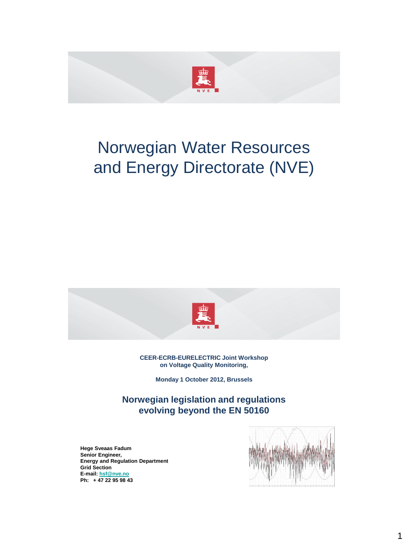

# Norwegian Water Resources and Energy Directorate (NVE)



#### **CEER-ECRB-EURELECTRIC Joint Workshop on Voltage Quality Monitoring,**

**Monday 1 October 2012, Brussels**

**Norwegian legislation and regulations evolving beyond the EN 50160**

**Hege Sveaas Fadum Senior Engineer, Energy and Regulation Department Grid Section E-mail: [hsf@nve.no](mailto:hsf@nve.no) Ph: + 47 22 95 98 43**

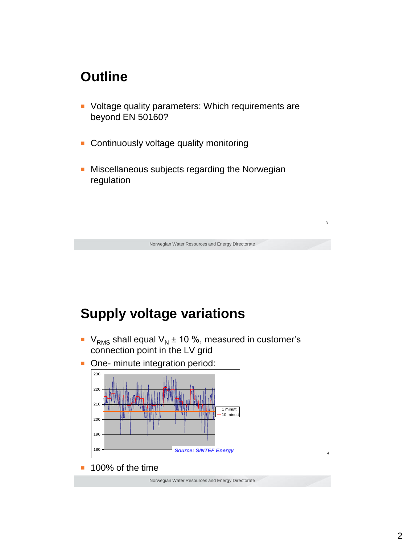#### **Outline**

- Voltage quality parameters: Which requirements are beyond EN 50160?
- Continuously voltage quality monitoring
- Miscellaneous subjects regarding the Norwegian regulation



■  $V<sub>RMS</sub>$  shall equal  $V<sub>N</sub>$  ± 10 %, measured in customer's connection point in the LV grid

Norwegian Water Resources and Energy Directorate

3

■ One- minute integration period:



100% of the time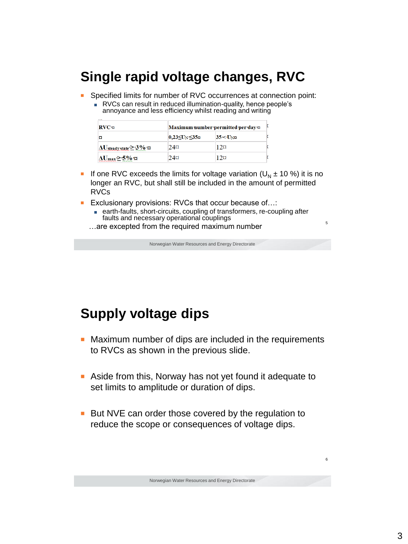## **Single rapid voltage changes, RVC**

- Specified limits for number of RVC occurrences at connection point:
	- RVCs can result in reduced illumination-quality, hence people's annoyance and less efficiency whilst reading and writing

| RVC <sub>T</sub>                                | Maximum number permitted per day x |           |  |
|-------------------------------------------------|------------------------------------|-----------|--|
| ¤                                               | $ 0,23$ ≤U <sub>N</sub> ≤35¤       | $35<$ UND |  |
| $\Delta U_{\text{steady state}}$ $\geq$ 3% $\%$ | $2.4\alpha$                        | 12¤       |  |
| $\Delta U_{\rm max}$ >∙5%∙¤                     | $24\alpha$                         | 12¤       |  |

- **■** If one RVC exceeds the limits for voltage variation  $(U<sub>N</sub> \pm 10 \%)$  it is no longer an RVC, but shall still be included in the amount of permitted RVCs
- Exclusionary provisions: RVCs that occur because of...:
	- earth-faults, short-circuits, coupling of transformers, re-coupling after faults and necessary operational couplings
	- …are excepted from the required maximum number

Norwegian Water Resources and Energy Directorate

5

6

## **Supply voltage dips**

- Maximum number of dips are included in the requirements to RVCs as shown in the previous slide.
- Aside from this, Norway has not yet found it adequate to set limits to amplitude or duration of dips.
- But NVE can order those covered by the regulation to reduce the scope or consequences of voltage dips.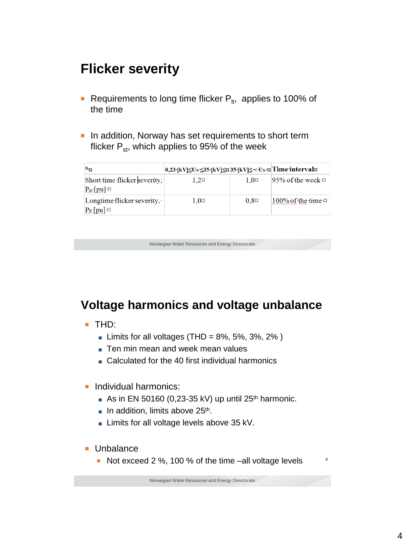## **Flicker severity**

- **Requirements to long time flicker P<sub>It</sub>, applies to 100% of** the time
- In addition, Norway has set requirements to short term flicker  $P_{st}$ , which applies to 95% of the week

| ∾¤                                                     | 0,23 [kV] $\leq$ U <sub>N</sub> $\leq$ 35 [kV] $\leq$ ¤ 35 [kV] $\leq$ < U <sub>N</sub> ¤ Time interval¤ |             |                              |
|--------------------------------------------------------|----------------------------------------------------------------------------------------------------------|-------------|------------------------------|
| Short time flicker severity,<br>$P_{st}$ [pu] $\alpha$ | 1.2¤                                                                                                     | $1.0\alpha$ | $95\%$ of the week $\alpha$  |
| Longtime flicker severity,<br>$P_{lt}$ [pu] $\alpha$   | $1.0\%$                                                                                                  | $0.8\alpha$ | $100\%$ of the time $\alpha$ |

Norwegian Water Resources and Energy Directorate

#### **Voltage harmonics and voltage unbalance**

- THD:
	- Limits for all voltages (THD =  $8\%$ ,  $5\%$ ,  $3\%$ ,  $2\%$ )
	- Ten min mean and week mean values
	- Calculated for the 40 first individual harmonics
- Individual harmonics:
	- As in EN 50160 (0,23-35 kV) up until  $25<sup>th</sup>$  harmonic.
	- In addition, limits above 25<sup>th</sup>.
	- Limits for all voltage levels above 35 kV.
- Unbalance
	- Not exceed 2 %, 100 % of the time –all voltage levels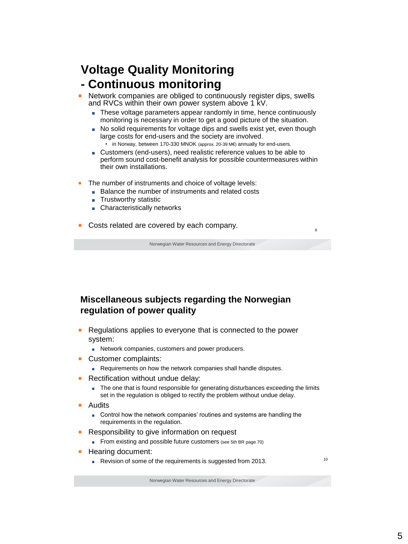#### **Voltage Quality Monitoring - Continuous monitoring**

- Network companies are obliged to continuously register dips, swells and RVCs within their own power system above 1 kV.
	- These voltage parameters appear randomly in time, hence continuously monitoring is necessary in order to get a good picture of the situation.
	- No solid requirements for voltage dips and swells exist yet, even though large costs for end-users and the society are involved.
		- in Norway, between 170-330 MNOK (approx. 20-39 M€) annually for end-users.
	- Customers (end-users), need realistic reference values to be able to perform sound cost-benefit analysis for possible countermeasures within their own installations.
- The number of instruments and choice of voltage levels:
	- Balance the number of instruments and related costs
	- Trustworthy statistic
	- Characteristically networks
- Costs related are covered by each company.

Norwegian Water Resources and Energy Directorate

#### **Miscellaneous subjects regarding the Norwegian regulation of power quality**

- Regulations applies to everyone that is connected to the power system:
	- Network companies, customers and power producers.
- Customer complaints:
	- Requirements on how the network companies shall handle disputes.
- Rectification without undue delay:
	- The one that is found responsible for generating disturbances exceeding the limits set in the regulation is obliged to rectify the problem without undue delay.
- Audits
	- Control how the network companies' routines and systems are handling the requirements in the regulation.
- Responsibility to give information on request
	- From existing and possible future customers (see 5th BR page 70)
- Hearing document:
	- Revision of some of the requirements is suggested from 2013.

9